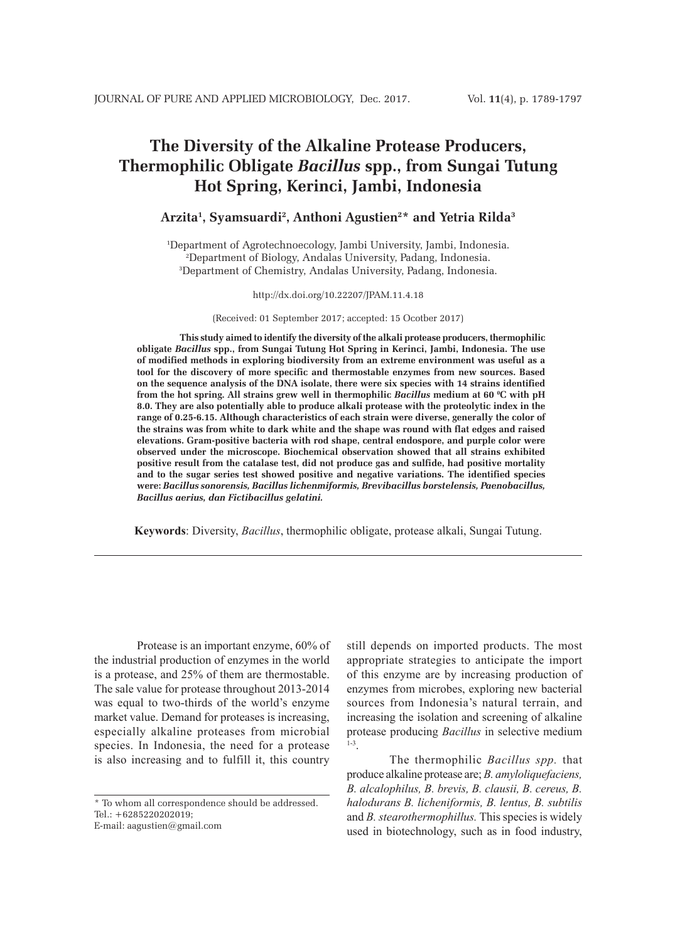# **The Diversity of the Alkaline Protease Producers, Thermophilic Obligate** *Bacillus* **spp., from Sungai Tutung Hot Spring, Kerinci, Jambi, Indonesia**

# **Arzita1 , Syamsuardi2 , Anthoni Agustien2 \* and Yetria Rilda3**

1 Department of Agrotechnoecology, Jambi University, Jambi, Indonesia. 2 Department of Biology, Andalas University, Padang, Indonesia. 3 Department of Chemistry, Andalas University, Padang, Indonesia.

http://dx.doi.org/10.22207/JPAM.11.4.18

(Received: 01 September 2017; accepted: 15 Ocotber 2017)

**This study aimed to identify the diversity of the alkali protease producers, thermophilic obligate** *Bacillus* **spp., from Sungai Tutung Hot Spring in Kerinci, Jambi, Indonesia. The use of modified methods in exploring biodiversity from an extreme environment was useful as a tool for the discovery of more specific and thermostable enzymes from new sources. Based on the sequence analysis of the DNA isolate, there were six species with 14 strains identified from the hot spring. All strains grew well in thermophilic** *Bacillus* **medium at 60 0 C with pH 8.0. They are also potentially able to produce alkali protease with the proteolytic index in the range of 0.25-6.15. Although characteristics of each strain were diverse, generally the color of the strains was from white to dark white and the shape was round with flat edges and raised elevations. Gram-positive bacteria with rod shape, central endospore, and purple color were observed under the microscope. Biochemical observation showed that all strains exhibited positive result from the catalase test, did not produce gas and sulfide, had positive mortality and to the sugar series test showed positive and negative variations. The identified species were:** *Bacillus sonorensis, Bacillus lichenmiformis, Brevibacillus borstelensis, Paenobacillus, Bacillus aerius, dan Fictibacillus gelatini.*

**Keywords**: Diversity, *Bacillus*, thermophilic obligate, protease alkali, Sungai Tutung.

Protease is an important enzyme, 60% of the industrial production of enzymes in the world is a protease, and 25% of them are thermostable. The sale value for protease throughout 2013-2014 was equal to two-thirds of the world's enzyme market value. Demand for proteases is increasing, especially alkaline proteases from microbial species. In Indonesia, the need for a protease is also increasing and to fulfill it, this country

\* To whom all correspondence should be addressed. Tel.: +6285220202019; E-mail: aagustien@gmail.com

still depends on imported products. The most appropriate strategies to anticipate the import of this enzyme are by increasing production of enzymes from microbes, exploring new bacterial sources from Indonesia's natural terrain, and increasing the isolation and screening of alkaline protease producing *Bacillus* in selective medium 1-3.

The thermophilic *Bacillus spp.* that produce alkaline protease are; *B. amyloliquefaciens, B. alcalophilus, B. brevis, B. clausii, B. cereus, B. halodurans B. licheniformis, B. lentus, B. subtilis*  and *B. stearothermophillus.* This species is widely used in biotechnology, such as in food industry,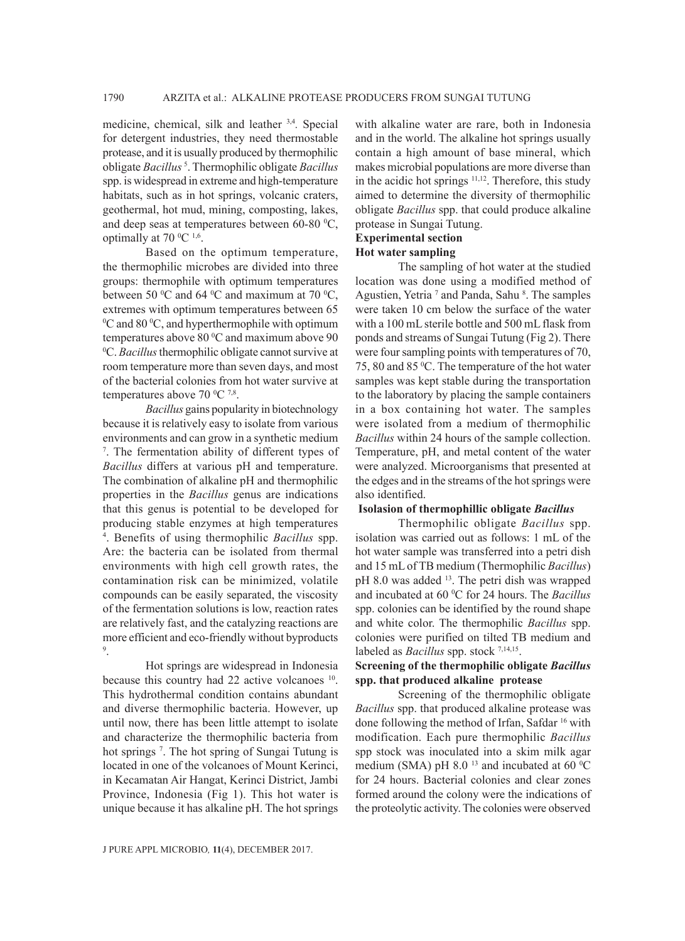medicine, chemical, silk and leather 3,4*.* Special for detergent industries, they need thermostable protease, and it is usually produced by thermophilic obligate *Bacillus* <sup>5</sup> . Thermophilic obligate *Bacillus* spp. is widespread in extreme and high-temperature habitats, such as in hot springs, volcanic craters, geothermal, hot mud, mining, composting, lakes, and deep seas at temperatures between  $60-80$  °C, optimally at 70  $^{\circ}$ C <sup>1,6</sup>.

Based on the optimum temperature, the thermophilic microbes are divided into three groups: thermophile with optimum temperatures between 50  $\rm{^0C}$  and 64  $\rm{^0C}$  and maximum at 70  $\rm{^0C}$ , extremes with optimum temperatures between 65  $\rm{^{0}C}$  and 80  $\rm{^{0}C}$ , and hyperthermophile with optimum temperatures above  $80^{\circ}$ C and maximum above  $90^{\circ}$ C *Racillus* thermophilic obligate cannot survive at C. *Bacillus* thermophilic obligate cannot survive at room temperature more than seven days, and most of the bacterial colonies from hot water survive at temperatures above  $70 \degree C \ ^{7,8}$ .

*Bacillus* gains popularity in biotechnology because it is relatively easy to isolate from various environments and can grow in a synthetic medium 7 . The fermentation ability of different types of *Bacillus* differs at various pH and temperature. The combination of alkaline pH and thermophilic properties in the *Bacillus* genus are indications that this genus is potential to be developed for producing stable enzymes at high temperatures 4 . Benefits of using thermophilic *Bacillus* spp. Are: the bacteria can be isolated from thermal environments with high cell growth rates, the contamination risk can be minimized, volatile compounds can be easily separated, the viscosity of the fermentation solutions is low, reaction rates are relatively fast, and the catalyzing reactions are more efficient and eco-friendly without byproducts 9 .

Hot springs are widespread in Indonesia because this country had 22 active volcanoes <sup>10</sup>. This hydrothermal condition contains abundant and diverse thermophilic bacteria. However, up until now, there has been little attempt to isolate and characterize the thermophilic bacteria from hot springs<sup>7</sup>. The hot spring of Sungai Tutung is located in one of the volcanoes of Mount Kerinci, in Kecamatan Air Hangat, Kerinci District, Jambi Province, Indonesia (Fig 1). This hot water is unique because it has alkaline pH. The hot springs

with alkaline water are rare, both in Indonesia and in the world. The alkaline hot springs usually contain a high amount of base mineral, which makes microbial populations are more diverse than in the acidic hot springs <sup>11,12</sup>. Therefore, this study aimed to determine the diversity of thermophilic obligate *Bacillus* spp. that could produce alkaline protease in Sungai Tutung.

### **Experimental section**

#### **Hot water sampling**

The sampling of hot water at the studied location was done using a modified method of Agustien, Yetria<sup>7</sup> and Panda, Sahu<sup>8</sup>. The samples were taken 10 cm below the surface of the water with a 100 mL sterile bottle and 500 mL flask from ponds and streams of Sungai Tutung (Fig 2). There were four sampling points with temperatures of 70, 75, 80 and 85 °C. The temperature of the hot water samples was kept stable during the transportation to the laboratory by placing the sample containers in a box containing hot water. The samples were isolated from a medium of thermophilic *Bacillus* within 24 hours of the sample collection. Temperature, pH, and metal content of the water were analyzed. Microorganisms that presented at the edges and in the streams of the hot springs were also identified.

#### **Isolasion of thermophillic obligate** *Bacillus*

Thermophilic obligate *Bacillus* spp. isolation was carried out as follows: 1 mL of the hot water sample was transferred into a petri dish and 15 mL of TB medium (Thermophilic *Bacillus*) pH 8.0 was added <sup>13</sup>. The petri dish was wrapped and incubated at 60 °C for 24 hours. The *Bacillus* spp. colonies can be identified by the round shape and white color. The thermophilic *Bacillus* spp. colonies were purified on tilted TB medium and labeled as *Bacillus* spp. stock <sup>7,14,15</sup>.

# **Screening of the thermophilic obligate** *Bacillus*  **spp. that produced alkaline protease**

Screening of the thermophilic obligate *Bacillus* spp. that produced alkaline protease was done following the method of Irfan, Safdar 16 with modification. Each pure thermophilic *Bacillus* spp stock was inoculated into a skim milk agar medium (SMA) pH 8.0<sup> $13$ </sup> and incubated at 60<sup>°</sup>C for 24 hours. Bacterial colonies and clear zones formed around the colony were the indications of the proteolytic activity. The colonies were observed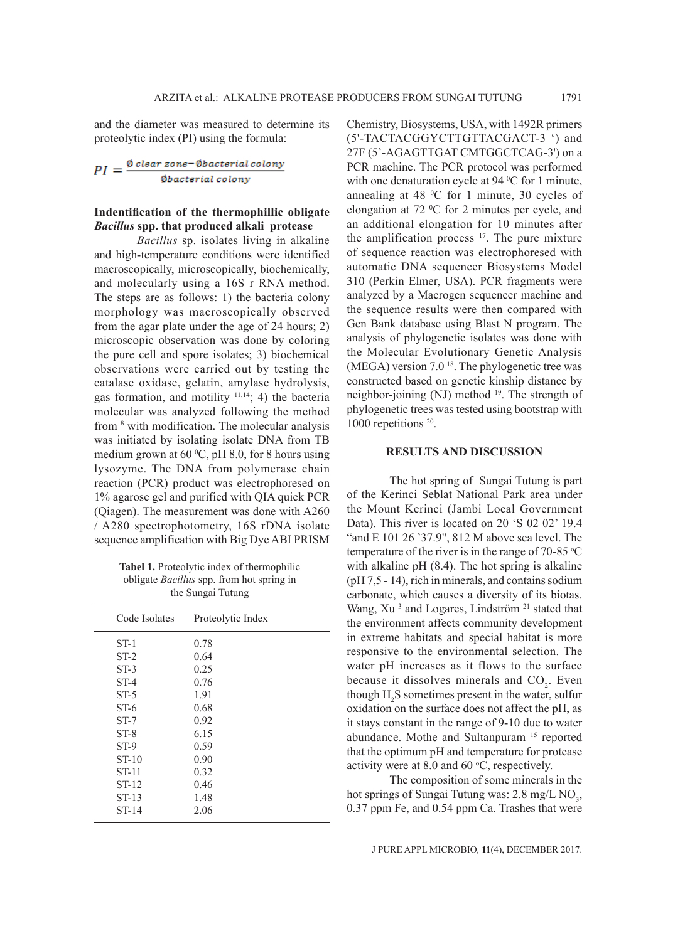and the diameter was measured to determine its proteolytic index (PI) using the formula:

 $PI = \frac{\text{\# clear zone} - \text{\# bacterial colony}}{\text{\#bacterial colony}}$ 

### **Indentification of the thermophillic obligate**  *Bacillus* **spp. that produced alkali protease**

*Bacillus* sp. isolates living in alkaline and high-temperature conditions were identified macroscopically, microscopically, biochemically, and molecularly using a 16S r RNA method. The steps are as follows: 1) the bacteria colony morphology was macroscopically observed from the agar plate under the age of 24 hours; 2) microscopic observation was done by coloring the pure cell and spore isolates; 3) biochemical observations were carried out by testing the catalase oxidase, gelatin, amylase hydrolysis, gas formation, and motility 11,14; 4) the bacteria molecular was analyzed following the method from <sup>8</sup> with modification. The molecular analysis was initiated by isolating isolate DNA from TB medium grown at  $60^{\circ}$ C, pH 8.0, for 8 hours using lysozyme. The DNA from polymerase chain reaction (PCR) product was electrophoresed on 1% agarose gel and purified with QIA quick PCR (Qiagen). The measurement was done with A260 / A280 spectrophotometry, 16S rDNA isolate sequence amplification with Big Dye ABI PRISM

**Tabel 1.** Proteolytic index of thermophilic obligate *Bacillus* spp. from hot spring in the Sungai Tutung

| Code Isolates | Proteolytic Index |  |  |  |  |  |  |  |
|---------------|-------------------|--|--|--|--|--|--|--|
| $ST-1$        | 0.78              |  |  |  |  |  |  |  |
| $ST-2$        | 0.64              |  |  |  |  |  |  |  |
| $ST-3$        | 0.25              |  |  |  |  |  |  |  |
| $ST-4$        | 0.76              |  |  |  |  |  |  |  |
| $ST-5$        | 1.91              |  |  |  |  |  |  |  |
| $ST-6$        | 0.68              |  |  |  |  |  |  |  |
| $ST-7$        | 0.92              |  |  |  |  |  |  |  |
| $ST-8$        | 6.15              |  |  |  |  |  |  |  |
| $ST-9$        | 0.59              |  |  |  |  |  |  |  |
| $ST-10$       | 0.90              |  |  |  |  |  |  |  |
| <b>ST-11</b>  | 0.32              |  |  |  |  |  |  |  |
| ST-12         | 0.46              |  |  |  |  |  |  |  |
| ST-13         | 1.48              |  |  |  |  |  |  |  |
| ST-14         | 2.06              |  |  |  |  |  |  |  |

Chemistry, Biosystems, USA, with 1492R primers (5'-TACTACGGYCTTGTTACGACT-3 ') and 27F (5'-AGAGTTGAT CMTGGCTCAG-3') on a PCR machine. The PCR protocol was performed with one denaturation cycle at  $94\,^{\circ}$ C for 1 minute, annealing at 48  $\mathrm{^0C}$  for 1 minute, 30 cycles of elongation at  $72 \text{ °C}$  for 2 minutes per cycle, and an additional elongation for 10 minutes after the amplification process <sup>17</sup>. The pure mixture of sequence reaction was electrophoresed with automatic DNA sequencer Biosystems Model 310 (Perkin Elmer, USA). PCR fragments were analyzed by a Macrogen sequencer machine and the sequence results were then compared with Gen Bank database using Blast N program. The analysis of phylogenetic isolates was done with the Molecular Evolutionary Genetic Analysis (MEGA) version 7.0 18. The phylogenetic tree was constructed based on genetic kinship distance by neighbor-joining (NJ) method <sup>19</sup>. The strength of phylogenetic trees was tested using bootstrap with 1000 repetitions <sup>20</sup>.

### **RESULTS AND DISCUSSION**

The hot spring of Sungai Tutung is part of the Kerinci Seblat National Park area under the Mount Kerinci (Jambi Local Government Data). This river is located on 20 'S 02 02' 19.4 "and E 101 26 '37.9", 812 M above sea level. The temperature of the river is in the range of 70-85  $\degree$ C with alkaline pH  $(8.4)$ . The hot spring is alkaline (pH 7,5 - 14), rich in minerals, and contains sodium carbonate, which causes a diversity of its biotas. Wang, Xu<sup>3</sup> and Logares, Lindström<sup>21</sup> stated that the environment affects community development in extreme habitats and special habitat is more responsive to the environmental selection. The water pH increases as it flows to the surface because it dissolves minerals and  $CO<sub>2</sub>$ . Even though  $H_2S$  sometimes present in the water, sulfur oxidation on the surface does not affect the pH, as it stays constant in the range of 9-10 due to water abundance. Mothe and Sultanpuram<sup>15</sup> reported that the optimum pH and temperature for protease activity were at 8.0 and 60  $\degree$ C, respectively.

The composition of some minerals in the hot springs of Sungai Tutung was:  $2.8 \text{ mg/L NO}_3$ , 0.37 ppm Fe, and 0.54 ppm Ca. Trashes that were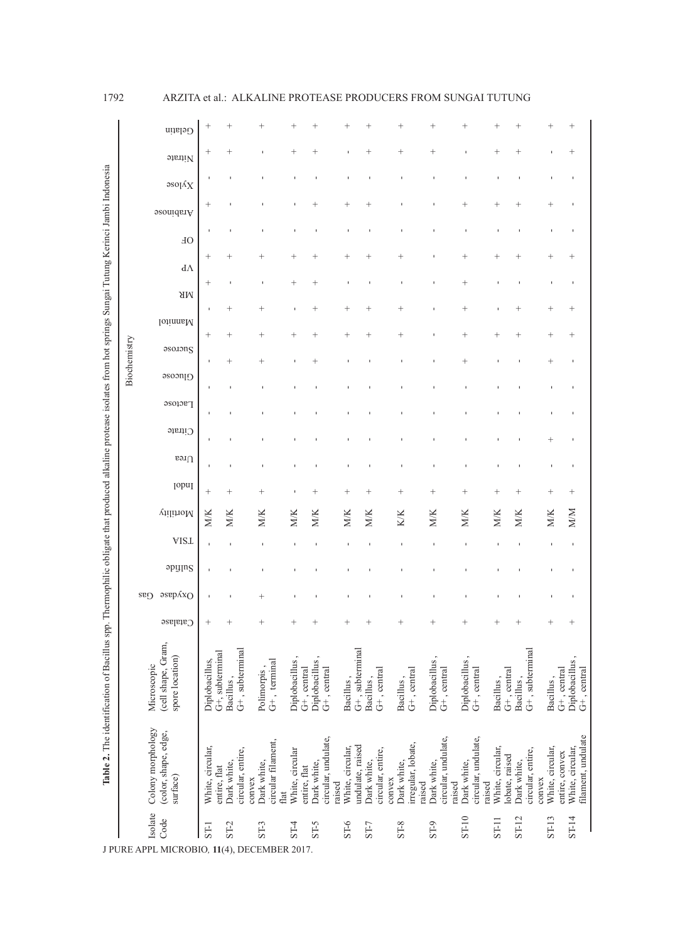# 1792 ARZITA et al.: ALKALINE PROTEASE PRODUCERS FROM SUNGAI TUTUNG

|                                                                                                                                                                    |              | Gelatin                                               |                  |                                                    |                                                     |                                 |                                    |                            |                                 |                   |                       |                              |                                              |                                              |                  |                              |                   |        |                                    |                                        |
|--------------------------------------------------------------------------------------------------------------------------------------------------------------------|--------------|-------------------------------------------------------|------------------|----------------------------------------------------|-----------------------------------------------------|---------------------------------|------------------------------------|----------------------------|---------------------------------|-------------------|-----------------------|------------------------------|----------------------------------------------|----------------------------------------------|------------------|------------------------------|-------------------|--------|------------------------------------|----------------------------------------|
| Table 2. The identification of Bacillus spp. Thermophilic obligate that produced alkaline protease isolates from hot springs Sungai Tutung Kerinci Jambi Indonesia |              | Nitrate                                               | $^+$             | $^{+}$                                             |                                                     | $^{+}$                          |                                    |                            | $^{+}$                          |                   | $^{+}$                |                              | $^{+}$                                       |                                              |                  |                              |                   |        |                                    | $^{+}$                                 |
|                                                                                                                                                                    |              | $\infty$                                              | J.               |                                                    |                                                     |                                 |                                    |                            |                                 |                   |                       |                              |                                              |                                              |                  |                              |                   |        |                                    |                                        |
|                                                                                                                                                                    |              | Arabinose                                             | $^+$             |                                                    |                                                     |                                 |                                    | $\overline{+}$             |                                 |                   |                       |                              |                                              | $^{+}$                                       |                  | $\overline{+}$               |                   |        | $^+$                               |                                        |
|                                                                                                                                                                    |              | <b>JO</b>                                             | $\mathbf{I}$     |                                                    |                                                     |                                 |                                    |                            |                                 |                   |                       |                              |                                              |                                              |                  |                              |                   |        |                                    |                                        |
|                                                                                                                                                                    |              | $d\Lambda$                                            | $^{+}$           | $^{+}$                                             |                                                     | $^+$                            |                                    | $^{+}$                     |                                 |                   | $^{+}$                |                              |                                              | $^{+}$                                       |                  |                              |                   |        |                                    |                                        |
|                                                                                                                                                                    |              | <b>NR</b>                                             | $^{+}$           |                                                    |                                                     | $^{+}$                          | $^+$                               |                            |                                 |                   |                       |                              |                                              | $^{+}$                                       |                  |                              |                   |        |                                    |                                        |
|                                                                                                                                                                    | Biochemistry | Mannitol                                              | $\mathbf{I}$     | $^{+}$                                             |                                                     | J.                              | $^+$                               | $^{+}$                     |                                 |                   | $^{+}$                |                              |                                              | $\overline{+}$                               |                  |                              |                   |        |                                    | $^{+}$                                 |
|                                                                                                                                                                    |              | asolong                                               | $^{+}$           | $^{+}$                                             |                                                     | $^{+}$                          |                                    | $^{+}$                     |                                 |                   | $^{+}$                |                              |                                              | $\, +$                                       | $^+$             |                              |                   |        | $\overline{+}$                     | $^{+}$                                 |
|                                                                                                                                                                    |              | O(1)                                                  |                  | $^{+}$                                             | $^{+}$                                              |                                 |                                    |                            |                                 |                   |                       |                              |                                              | $^{+}$                                       |                  |                              |                   |        | $^{+}$                             |                                        |
|                                                                                                                                                                    |              | <b>Lactose</b>                                        | ×                |                                                    |                                                     |                                 |                                    |                            |                                 |                   |                       |                              |                                              |                                              |                  |                              |                   |        |                                    |                                        |
|                                                                                                                                                                    |              | $C$ itrate                                            | J.               |                                                    |                                                     |                                 |                                    |                            |                                 |                   |                       |                              |                                              |                                              |                  |                              |                   |        |                                    |                                        |
|                                                                                                                                                                    |              | rea $\Omega$                                          | J.               |                                                    |                                                     |                                 |                                    |                            |                                 |                   |                       |                              |                                              |                                              |                  |                              |                   |        |                                    |                                        |
|                                                                                                                                                                    |              |                                                       | $\mathbf{I}$     |                                                    |                                                     |                                 |                                    |                            |                                 |                   |                       |                              |                                              |                                              |                  |                              |                   |        |                                    |                                        |
|                                                                                                                                                                    |              | <b>[opu]</b>                                          | $^{+}$           | $^{+}$                                             | $^+$                                                |                                 |                                    | $^{+}$                     | $\,{}^{+}\,$                    |                   | $^{+}$                |                              | $^{+}$                                       | $\ddot{}$                                    | $^+$             | $^+$                         |                   |        | $^+$                               | $^{+}$                                 |
|                                                                                                                                                                    |              | Mortility                                             | M/K              | M/K                                                | M/K                                                 | M/K                             | MIK                                | MIK                        | M/K                             |                   | KK                    |                              | M/K                                          | M/K                                          | M/K              | MIK                          |                   |        | M/K                                | <b>M/M</b>                             |
|                                                                                                                                                                    |              | <b>VISL</b>                                           |                  |                                                    |                                                     |                                 |                                    |                            |                                 |                   | J.                    |                              | $\mathbf{I}$                                 | I.                                           |                  |                              |                   |        | f,                                 | ı                                      |
|                                                                                                                                                                    |              | apyms                                                 |                  |                                                    |                                                     |                                 |                                    |                            |                                 |                   |                       |                              |                                              |                                              |                  |                              |                   |        |                                    |                                        |
|                                                                                                                                                                    |              | әѕерлхо<br>$C^{32}$                                   |                  |                                                    |                                                     |                                 |                                    |                            |                                 |                   |                       |                              |                                              |                                              |                  |                              |                   |        |                                    |                                        |
|                                                                                                                                                                    |              | Catalase                                              | $^{+}$           |                                                    |                                                     |                                 |                                    |                            |                                 |                   |                       |                              | $^{+}$                                       |                                              |                  |                              |                   |        |                                    |                                        |
|                                                                                                                                                                    |              | (cell shape, Gram,<br>spore location)<br>Microscopic  | Diplobacillus,   | $G+$ , subterminal<br>G+, subterminal<br>Bacillus, | G+, terminal<br>Polimorpis,                         | Diplobacillus,<br>G+, central   | Diplobacillus,<br>$G+$ , central   | Bacillus,                  | G+, subterminal<br>Bacillus     | G+, central       | Bacillus,             | G+, central                  | Diplobacillus,<br>G+, central                | Diplobacillus,<br>G+, central                | Bacillus,        | $G+$ , central<br>Bacillus,  | G+, subterminal   |        | $G+$ , central<br>Bacillus,        | Diplobacillus,<br>$G+$ , central       |
|                                                                                                                                                                    |              | Colony morphology<br>(color, shape, edge,<br>surface) | White, circular, | circular, entire,<br>Dark white,<br>entire, flat   | circular filament,<br>Dark white,<br>convex<br>flat | White, circular<br>entire, flat | circular, undulate,<br>Dark white, | White, circular,<br>raised | undulate, raised<br>Dark white, | circular, entire, | Dark white,<br>convex | irregular, lobate,<br>raised | circular, undulate,<br>Dark white,<br>raised | circular, undulate,<br>Dark white,<br>raised | White, circular, | obate, raised<br>Dark white, | circular, entire, | convex | White, circular,<br>entire, convex | filament, undulate<br>White, circular, |
|                                                                                                                                                                    |              | Isolate<br>Code<br>J PURE APPL MICROBIO,              | ST-1<br>-11      | $ST-2$<br>$(4)$ ,                                  | $ST-3$<br>DECEMBER 2017.                            | $ST-4$                          | ST <sub>5</sub>                    | $-5 - 6$                   | ST-7                            |                   | $S-T-8$               |                              | ST <sub>9</sub>                              | ST-10                                        | ST-11            | $ST-12$                      |                   |        | ST-13                              | $ST-14$                                |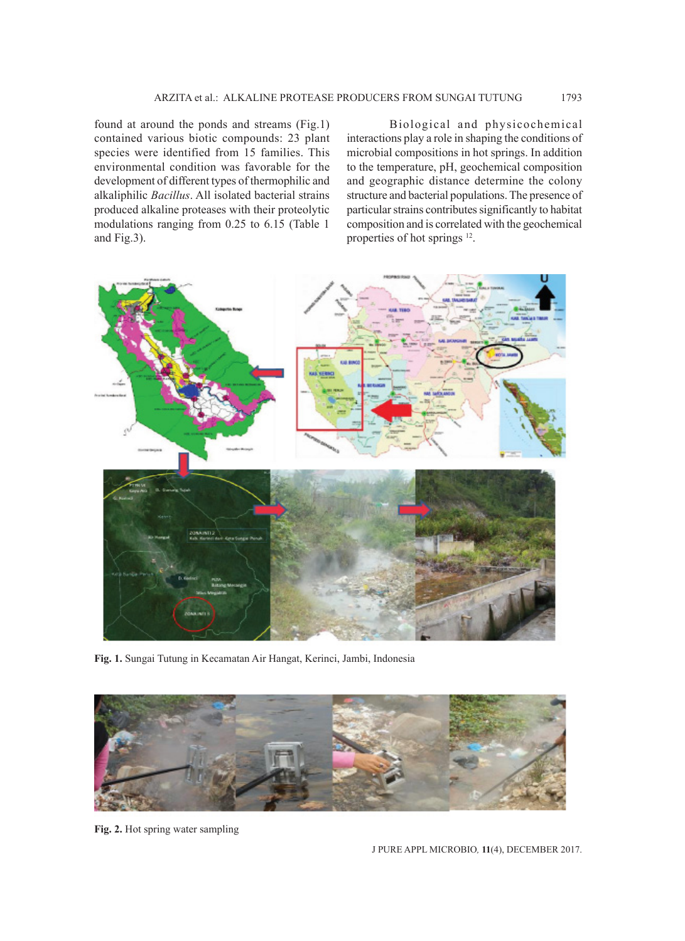found at around the ponds and streams (Fig.1) contained various biotic compounds: 23 plant species were identified from 15 families. This environmental condition was favorable for the development of different types of thermophilic and alkaliphilic *Bacillus*. All isolated bacterial strains produced alkaline proteases with their proteolytic modulations ranging from 0.25 to 6.15 (Table 1 and Fig.3).

Biological and physicochemical interactions play a role in shaping the conditions of microbial compositions in hot springs. In addition to the temperature, pH, geochemical composition and geographic distance determine the colony structure and bacterial populations. The presence of particular strains contributes significantly to habitat composition and is correlated with the geochemical properties of hot springs 12.



**Fig. 1.** Sungai Tutung in Kecamatan Air Hangat, Kerinci, Jambi, Indonesia



**Fig. 2.** Hot spring water sampling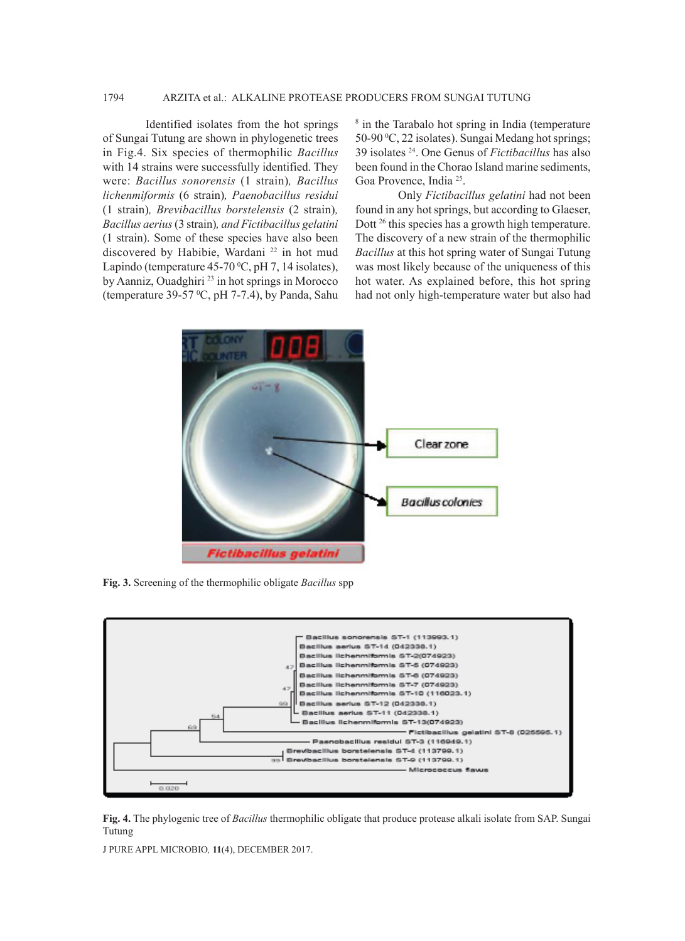# 1794 ARZITA et al.: ALKALINE PROTEASE PRODUCERS FROM SUNGAI TUTUNG

Identified isolates from the hot springs of Sungai Tutung are shown in phylogenetic trees in Fig.4. Six species of thermophilic *Bacillus* with 14 strains were successfully identified. They were: *Bacillus sonorensis* (1 strain)*, Bacillus lichenmiformis* (6 strain)*, Paenobacillus residui*  (1 strain)*, Brevibacillus borstelensis* (2 strain)*, Bacillus aerius* (3 strain)*, and Fictibacillus gelatini*  (1 strain). Some of these species have also been discovered by Habibie, Wardani<sup>22</sup> in hot mud Lapindo (temperature  $45-70\,^{\circ}\text{C}$ , pH 7, 14 isolates), by Aanniz, Ouadghiri<sup>23</sup> in hot springs in Morocco (temperature 39-57  $\mathrm{^0C}$ , pH 7-7.4), by Panda, Sahu

<sup>8</sup> in the Tarabalo hot spring in India (temperature 50-90 °C, 22 isolates). Sungai Medang hot springs; 39 isolates 24. One Genus of *Fictibacillus* has also been found in the Chorao Island marine sediments, Goa Provence, India 25.

Only *Fictibacillus gelatini* had not been found in any hot springs, but according to Glaeser, Dott <sup>26</sup> this species has a growth high temperature. The discovery of a new strain of the thermophilic *Bacillus* at this hot spring water of Sungai Tutung was most likely because of the uniqueness of this hot water. As explained before, this hot spring had not only high-temperature water but also had



**Fig. 3.** Screening of the thermophilic obligate *Bacillus* spp



**Fig. 4.** The phylogenic tree of *Bacillus* thermophilic obligate that produce protease alkali isolate from SAP. Sungai Tutung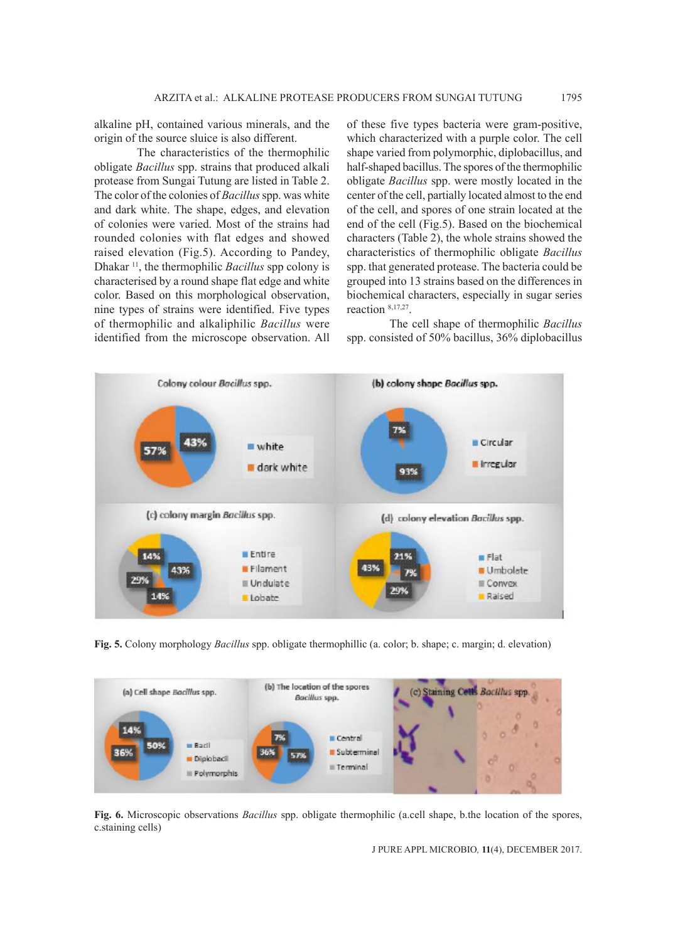alkaline pH, contained various minerals, and the origin of the source sluice is also different.

The characteristics of the thermophilic obligate *Bacillus* spp. strains that produced alkali protease from Sungai Tutung are listed in Table 2. The color of the colonies of *Bacillus* spp. was white and dark white. The shape, edges, and elevation of colonies were varied. Most of the strains had rounded colonies with flat edges and showed raised elevation (Fig.5). According to Pandey, Dhakar 11, the thermophilic *Bacillus* spp colony is characterised by a round shape flat edge and white color. Based on this morphological observation, nine types of strains were identified. Five types of thermophilic and alkaliphilic *Bacillus* were identified from the microscope observation. All of these five types bacteria were gram-positive, which characterized with a purple color. The cell shape varied from polymorphic, diplobacillus, and half-shaped bacillus. The spores of the thermophilic obligate *Bacillus* spp. were mostly located in the center of the cell, partially located almost to the end of the cell, and spores of one strain located at the end of the cell (Fig.5). Based on the biochemical characters (Table 2), the whole strains showed the characteristics of thermophilic obligate *Bacillus* spp. that generated protease. The bacteria could be grouped into 13 strains based on the differences in biochemical characters, especially in sugar series reaction 8,17,27.

The cell shape of thermophilic *Bacillus*  spp. consisted of 50% bacillus, 36% diplobacillus



**Fig. 5.** Colony morphology *Bacillus* spp. obligate thermophillic (a. color; b. shape; c. margin; d. elevation)



**Fig. 6.** Microscopic observations *Bacillus* spp. obligate thermophilic (a.cell shape, b.the location of the spores, c.staining cells)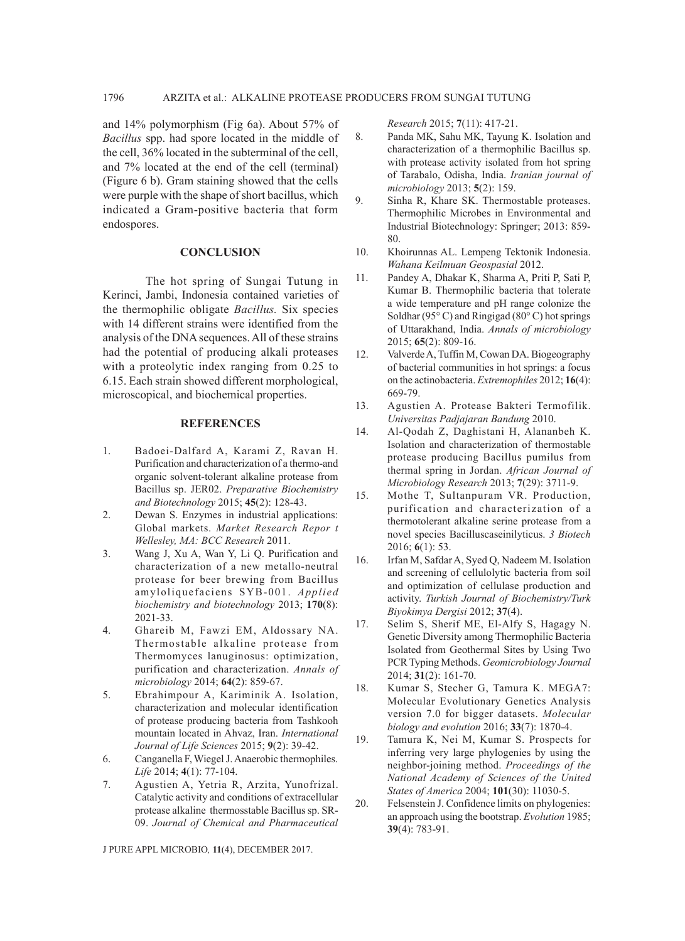and 14% polymorphism (Fig 6a). About 57% of *Bacillus* spp. had spore located in the middle of the cell, 36% located in the subterminal of the cell, and 7% located at the end of the cell (terminal) (Figure 6 b). Gram staining showed that the cells were purple with the shape of short bacillus, which indicated a Gram-positive bacteria that form endospores.

#### **CONCLUSION**

The hot spring of Sungai Tutung in Kerinci, Jambi, Indonesia contained varieties of the thermophilic obligate *Bacillus.* Six species with 14 different strains were identified from the analysis of the DNA sequences. All of these strains had the potential of producing alkali proteases with a proteolytic index ranging from  $0.25$  to 6.15. Each strain showed different morphological, microscopical, and biochemical properties.

#### **REFERENCES**

- 1. Badoei-Dalfard A, Karami Z, Ravan H. Purification and characterization of a thermo-and organic solvent-tolerant alkaline protease from Bacillus sp. JER02. *Preparative Biochemistry and Biotechnology* 2015; **45**(2): 128-43.
- 2. Dewan S. Enzymes in industrial applications: Global markets. *Market Research Repor t Wellesley, MA: BCC Research* 2011.
- 3. Wang J, Xu A, Wan Y, Li Q. Purification and characterization of a new metallo-neutral protease for beer brewing from Bacillus amyloliquefaciens SYB-001. *Applied biochemistry and biotechnology* 2013; **170**(8): 2021-33.
- 4. Ghareib M, Fawzi EM, Aldossary NA. Thermostable alkaline protease from Thermomyces lanuginosus: optimization, purification and characterization. *Annals of microbiology* 2014; **64**(2): 859-67.
- 5. Ebrahimpour A, Kariminik A. Isolation, characterization and molecular identification of protease producing bacteria from Tashkooh mountain located in Ahvaz, Iran. *International Journal of Life Sciences* 2015; **9**(2): 39-42.
- 6. Canganella F, Wiegel J. Anaerobic thermophiles. *Life* 2014; **4**(1): 77-104.
- 7. Agustien A, Yetria R, Arzita, Yunofrizal. Catalytic activity and conditions of extracellular protease alkaline thermosstable Bacillus sp. SR-09. *Journal of Chemical and Pharmaceutical*

J PURE APPL MICROBIO*,* **11**(4), DECEMBER 2017.

*Research* 2015; **7**(11): 417-21.

- 8. Panda MK, Sahu MK, Tayung K. Isolation and characterization of a thermophilic Bacillus sp. with protease activity isolated from hot spring of Tarabalo, Odisha, India. *Iranian journal of microbiology* 2013; **5**(2): 159.
- 9. Sinha R, Khare SK. Thermostable proteases. Thermophilic Microbes in Environmental and Industrial Biotechnology: Springer; 2013: 859- 80.
- 10. Khoirunnas AL. Lempeng Tektonik Indonesia. *Wahana Keilmuan Geospasial* 2012.
- 11. Pandey A, Dhakar K, Sharma A, Priti P, Sati P, Kumar B. Thermophilic bacteria that tolerate a wide temperature and pH range colonize the Soldhar (95 $\degree$ C) and Ringigad (80 $\degree$ C) hot springs of Uttarakhand, India. *Annals of microbiology* 2015; **65**(2): 809-16.
- 12. Valverde A, Tuffin M, Cowan DA. Biogeography of bacterial communities in hot springs: a focus on the actinobacteria. *Extremophiles* 2012; **16**(4): 669-79.
- 13. Agustien A. Protease Bakteri Termofilik. *Universitas Padjajaran Bandung* 2010.
- 14. Al-Qodah Z, Daghistani H, Alananbeh K. Isolation and characterization of thermostable protease producing Bacillus pumilus from thermal spring in Jordan. *African Journal of Microbiology Research* 2013; **7**(29): 3711-9.
- 15. Mothe T, Sultanpuram VR. Production, purification and characterization of a thermotolerant alkaline serine protease from a novel species Bacilluscaseinilyticus. *3 Biotech* 2016; **6**(1): 53.
- 16. Irfan M, Safdar A, Syed Q, Nadeem M. Isolation and screening of cellulolytic bacteria from soil and optimization of cellulase production and activity. *Turkish Journal of Biochemistry/Turk Biyokimya Dergisi* 2012; **37**(4).
- 17. Selim S, Sherif ME, El-Alfy S, Hagagy N. Genetic Diversity among Thermophilic Bacteria Isolated from Geothermal Sites by Using Two PCR Typing Methods. *Geomicrobiology Journal* 2014; **31**(2): 161-70.
- 18. Kumar S, Stecher G, Tamura K. MEGA7: Molecular Evolutionary Genetics Analysis version 7.0 for bigger datasets. *Molecular biology and evolution* 2016; **33**(7): 1870-4.
- 19. Tamura K, Nei M, Kumar S. Prospects for inferring very large phylogenies by using the neighbor-joining method. *Proceedings of the National Academy of Sciences of the United States of America* 2004; **101**(30): 11030-5.
- 20. Felsenstein J. Confidence limits on phylogenies: an approach using the bootstrap. *Evolution* 1985; **39**(4): 783-91.